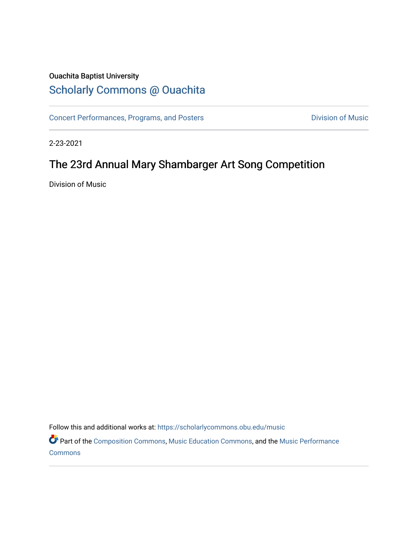## Ouachita Baptist University

# [Scholarly Commons @ Ouachita](https://scholarlycommons.obu.edu/)

[Concert Performances, Programs, and Posters](https://scholarlycommons.obu.edu/music) **Division of Music** Division of Music

2-23-2021

# The 23rd Annual Mary Shambarger Art Song Competition

Division of Music

Follow this and additional works at: [https://scholarlycommons.obu.edu/music](https://scholarlycommons.obu.edu/music?utm_source=scholarlycommons.obu.edu%2Fmusic%2F334&utm_medium=PDF&utm_campaign=PDFCoverPages) 

Part of the [Composition Commons,](http://network.bepress.com/hgg/discipline/519?utm_source=scholarlycommons.obu.edu%2Fmusic%2F334&utm_medium=PDF&utm_campaign=PDFCoverPages) [Music Education Commons,](http://network.bepress.com/hgg/discipline/1246?utm_source=scholarlycommons.obu.edu%2Fmusic%2F334&utm_medium=PDF&utm_campaign=PDFCoverPages) and the [Music Performance](http://network.bepress.com/hgg/discipline/1128?utm_source=scholarlycommons.obu.edu%2Fmusic%2F334&utm_medium=PDF&utm_campaign=PDFCoverPages)  **[Commons](http://network.bepress.com/hgg/discipline/1128?utm_source=scholarlycommons.obu.edu%2Fmusic%2F334&utm_medium=PDF&utm_campaign=PDFCoverPages)**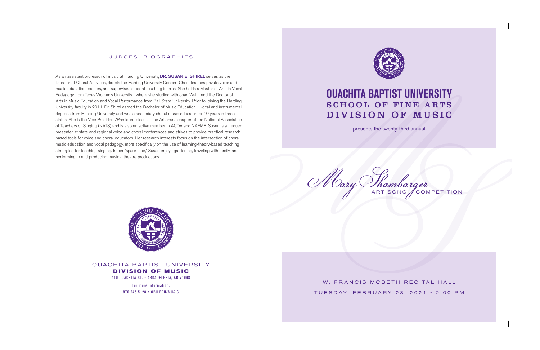W. FRANCIS MCBETH RECITAL HALL TUESDAY, FEBRUARY 23, 2021 • 2:00 PM



# **OUACHITA BAPTIST UNIVERSITY** SCHOOL OF FINE ARTS DIVISION OF MUSIC

presents the twenty-third annual

Mary Thambarger



OUACHITA BAPTIST UNIVERSITY **DIVISION OF MUSIC** 410 OUACHITA ST. • ARKADELPHIA, AR 71998

> For more information: 870.245.5128 • OBU.EDU/MUSIC

As an assistant professor of music at Harding University, DR. SUSAN E. SHIREL serves as the Director of Choral Activities, directs the Harding University Concert Choir, teaches private voice and music education courses, and supervises student teaching interns. She holds a Master of Arts in Vocal Pedagogy from Texas Woman's University—where she studied with Joan Wall—and the Doctor of Arts in Music Education and Vocal Performance from Ball State University. Prior to joining the Harding University faculty in 2011, Dr. Shirel earned the Bachelor of Music Education – vocal and instrumental degrees from Harding University and was a secondary choral music educator for 10 years in three states. She is the Vice President/President-elect for the Arkansas chapter of the National Association of Teachers of Singing (NATS) and is also an active member in ACDA and NAFME. Susan is a frequent presenter at state and regional voice and choral conferences and strives to provide practical researchbased tools for voice and choral educators. Her research interests focus on the intersection of choral music education and vocal pedagogy, more specifically on the use of learning-theory-based teaching strategies for teaching singing. In her "spare time," Susan enjoys gardening, traveling with family, and performing in and producing musical theatre productions.



## JUDGES' BIOGRAPHIES